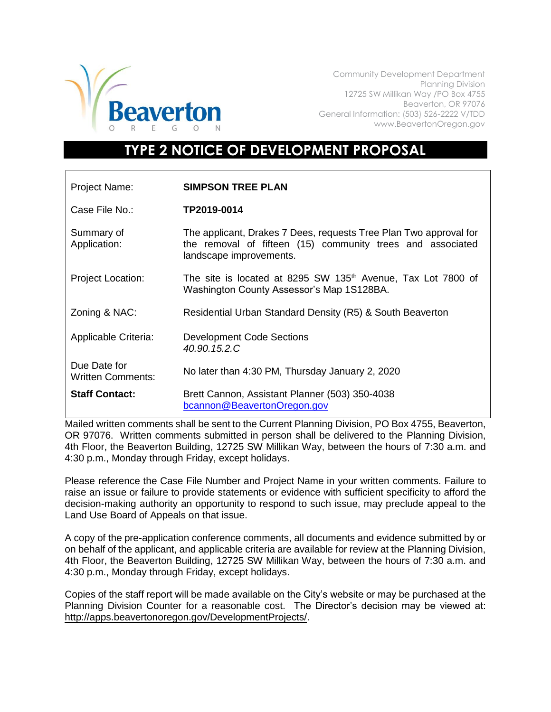

Community Development Department Planning Division 12725 SW Millikan Way /PO Box 4755 Beaverton, OR 97076 General Information: (503) 526-2222 V/TDD www.BeavertonOregon.gov

## **TYPE 2 NOTICE OF DEVELOPMENT PROPOSAL**

| Project Name:                            | <b>SIMPSON TREE PLAN</b>                                                                                                                                   |
|------------------------------------------|------------------------------------------------------------------------------------------------------------------------------------------------------------|
| Case File No.:                           | TP2019-0014                                                                                                                                                |
| Summary of<br>Application:               | The applicant, Drakes 7 Dees, requests Tree Plan Two approval for<br>the removal of fifteen (15) community trees and associated<br>landscape improvements. |
| <b>Project Location:</b>                 | The site is located at 8295 SW 135 <sup>th</sup> Avenue, Tax Lot 7800 of<br>Washington County Assessor's Map 1S128BA.                                      |
| Zoning & NAC:                            | Residential Urban Standard Density (R5) & South Beaverton                                                                                                  |
| Applicable Criteria:                     | <b>Development Code Sections</b><br>40.90.15.2.C                                                                                                           |
| Due Date for<br><b>Written Comments:</b> | No later than 4:30 PM, Thursday January 2, 2020                                                                                                            |
| <b>Staff Contact:</b>                    | Brett Cannon, Assistant Planner (503) 350-4038<br>bcannon@BeavertonOregon.gov                                                                              |

Mailed written comments shall be sent to the Current Planning Division, PO Box 4755, Beaverton, OR 97076. Written comments submitted in person shall be delivered to the Planning Division, 4th Floor, the Beaverton Building, 12725 SW Millikan Way, between the hours of 7:30 a.m. and 4:30 p.m., Monday through Friday, except holidays.

Please reference the Case File Number and Project Name in your written comments. Failure to raise an issue or failure to provide statements or evidence with sufficient specificity to afford the decision-making authority an opportunity to respond to such issue, may preclude appeal to the Land Use Board of Appeals on that issue.

A copy of the pre-application conference comments, all documents and evidence submitted by or on behalf of the applicant, and applicable criteria are available for review at the Planning Division, 4th Floor, the Beaverton Building, 12725 SW Millikan Way, between the hours of 7:30 a.m. and 4:30 p.m., Monday through Friday, except holidays.

Copies of the staff report will be made available on the City's website or may be purchased at the Planning Division Counter for a reasonable cost. The Director's decision may be viewed at: [http://apps.beavertonoregon.gov/DevelopmentProjects/.](http://apps.beavertonoregon.gov/DevelopmentProjects/)